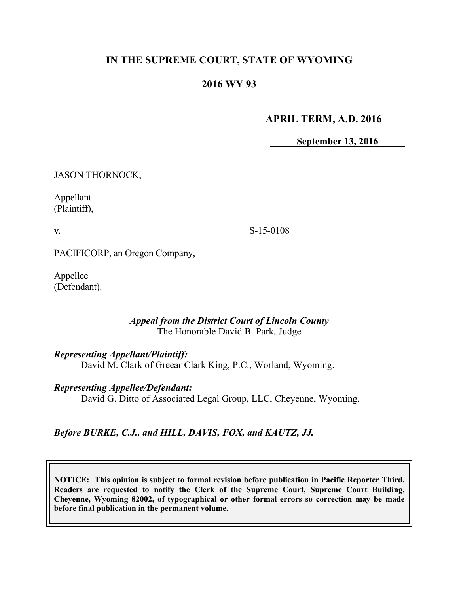## **IN THE SUPREME COURT, STATE OF WYOMING**

# **2016 WY 93**

## **APRIL TERM, A.D. 2016**

**September 13, 2016**

JASON THORNOCK,

Appellant (Plaintiff),

v.

S-15-0108

PACIFICORP, an Oregon Company,

Appellee (Defendant).

### *Appeal from the District Court of Lincoln County* The Honorable David B. Park, Judge

### *Representing Appellant/Plaintiff:*

David M. Clark of Greear Clark King, P.C., Worland, Wyoming.

*Representing Appellee/Defendant:*

David G. Ditto of Associated Legal Group, LLC, Cheyenne, Wyoming.

# *Before BURKE, C.J., and HILL, DAVIS, FOX, and KAUTZ, JJ.*

**NOTICE: This opinion is subject to formal revision before publication in Pacific Reporter Third. Readers are requested to notify the Clerk of the Supreme Court, Supreme Court Building, Cheyenne, Wyoming 82002, of typographical or other formal errors so correction may be made before final publication in the permanent volume.**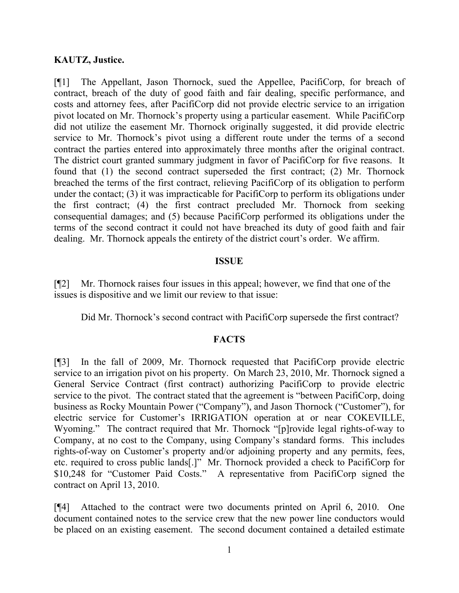### **KAUTZ, Justice.**

[¶1] The Appellant, Jason Thornock, sued the Appellee, PacifiCorp, for breach of contract, breach of the duty of good faith and fair dealing, specific performance, and costs and attorney fees, after PacifiCorp did not provide electric service to an irrigation pivot located on Mr. Thornock's property using a particular easement. While PacifiCorp did not utilize the easement Mr. Thornock originally suggested, it did provide electric service to Mr. Thornock's pivot using a different route under the terms of a second contract the parties entered into approximately three months after the original contract. The district court granted summary judgment in favor of PacifiCorp for five reasons. It found that (1) the second contract superseded the first contract; (2) Mr. Thornock breached the terms of the first contract, relieving PacifiCorp of its obligation to perform under the contact; (3) it was impracticable for PacifiCorp to perform its obligations under the first contract; (4) the first contract precluded Mr. Thornock from seeking consequential damages; and (5) because PacifiCorp performed its obligations under the terms of the second contract it could not have breached its duty of good faith and fair dealing. Mr. Thornock appeals the entirety of the district court's order. We affirm.

### **ISSUE**

[¶2] Mr. Thornock raises four issues in this appeal; however, we find that one of the issues is dispositive and we limit our review to that issue:

Did Mr. Thornock's second contract with PacifiCorp supersede the first contract?

### **FACTS**

[¶3] In the fall of 2009, Mr. Thornock requested that PacifiCorp provide electric service to an irrigation pivot on his property. On March 23, 2010, Mr. Thornock signed a General Service Contract (first contract) authorizing PacifiCorp to provide electric service to the pivot. The contract stated that the agreement is "between PacifiCorp, doing business as Rocky Mountain Power ("Company"), and Jason Thornock ("Customer"), for electric service for Customer's IRRIGATION operation at or near COKEVILLE, Wyoming." The contract required that Mr. Thornock "[p]rovide legal rights-of-way to Company, at no cost to the Company, using Company's standard forms. This includes rights-of-way on Customer's property and/or adjoining property and any permits, fees, etc. required to cross public lands[.]" Mr. Thornock provided a check to PacifiCorp for \$10,248 for "Customer Paid Costs." A representative from PacifiCorp signed the contract on April 13, 2010.

[¶4] Attached to the contract were two documents printed on April 6, 2010. One document contained notes to the service crew that the new power line conductors would be placed on an existing easement. The second document contained a detailed estimate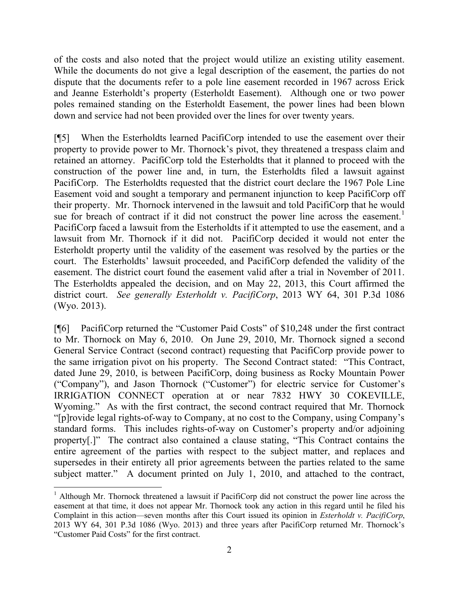of the costs and also noted that the project would utilize an existing utility easement. While the documents do not give a legal description of the easement, the parties do not dispute that the documents refer to a pole line easement recorded in 1967 across Erick and Jeanne Esterholdt's property (Esterholdt Easement). Although one or two power poles remained standing on the Esterholdt Easement, the power lines had been blown down and service had not been provided over the lines for over twenty years.

[¶5] When the Esterholdts learned PacifiCorp intended to use the easement over their property to provide power to Mr. Thornock's pivot, they threatened a trespass claim and retained an attorney. PacifiCorp told the Esterholdts that it planned to proceed with the construction of the power line and, in turn, the Esterholdts filed a lawsuit against PacifiCorp. The Esterholdts requested that the district court declare the 1967 Pole Line Easement void and sought a temporary and permanent injunction to keep PacifiCorp off their property. Mr. Thornock intervened in the lawsuit and told PacifiCorp that he would sue for breach of contract if it did not construct the power line across the easement.<sup>1</sup> PacifiCorp faced a lawsuit from the Esterholdts if it attempted to use the easement, and a lawsuit from Mr. Thornock if it did not. PacifiCorp decided it would not enter the Esterholdt property until the validity of the easement was resolved by the parties or the court. The Esterholdts' lawsuit proceeded, and PacifiCorp defended the validity of the easement. The district court found the easement valid after a trial in November of 2011. The Esterholdts appealed the decision, and on May 22, 2013, this Court affirmed the district court. *See generally Esterholdt v. PacifiCorp*, 2013 WY 64, 301 P.3d 1086 (Wyo. 2013).

[¶6] PacifiCorp returned the "Customer Paid Costs" of \$10,248 under the first contract to Mr. Thornock on May 6, 2010. On June 29, 2010, Mr. Thornock signed a second General Service Contract (second contract) requesting that PacifiCorp provide power to the same irrigation pivot on his property. The Second Contract stated: "This Contract, dated June 29, 2010, is between PacifiCorp, doing business as Rocky Mountain Power ("Company"), and Jason Thornock ("Customer") for electric service for Customer's IRRIGATION CONNECT operation at or near 7832 HWY 30 COKEVILLE, Wyoming." As with the first contract, the second contract required that Mr. Thornock "[p]rovide legal rights-of-way to Company, at no cost to the Company, using Company's standard forms. This includes rights-of-way on Customer's property and/or adjoining property[.]" The contract also contained a clause stating, "This Contract contains the entire agreement of the parties with respect to the subject matter, and replaces and supersedes in their entirety all prior agreements between the parties related to the same subject matter." A document printed on July 1, 2010, and attached to the contract,

 $\overline{a}$ 

<sup>&</sup>lt;sup>1</sup> Although Mr. Thornock threatened a lawsuit if PacifiCorp did not construct the power line across the easement at that time, it does not appear Mr. Thornock took any action in this regard until he filed his Complaint in this action—seven months after this Court issued its opinion in *Esterholdt v. PacifiCorp*, 2013 WY 64, 301 P.3d 1086 (Wyo. 2013) and three years after PacifiCorp returned Mr. Thornock's "Customer Paid Costs" for the first contract.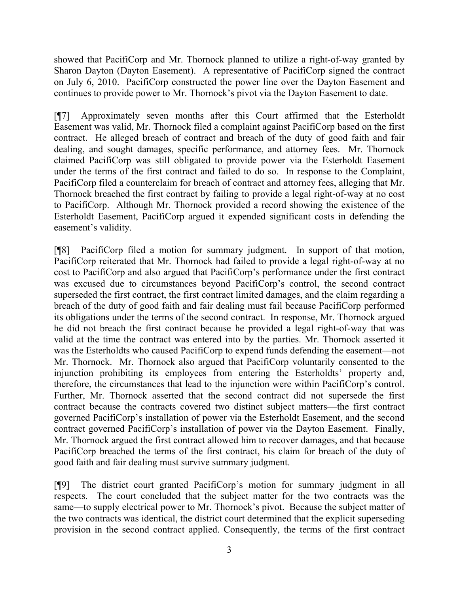showed that PacifiCorp and Mr. Thornock planned to utilize a right-of-way granted by Sharon Dayton (Dayton Easement). A representative of PacifiCorp signed the contract on July 6, 2010. PacifiCorp constructed the power line over the Dayton Easement and continues to provide power to Mr. Thornock's pivot via the Dayton Easement to date.

[¶7] Approximately seven months after this Court affirmed that the Esterholdt Easement was valid, Mr. Thornock filed a complaint against PacifiCorp based on the first contract. He alleged breach of contract and breach of the duty of good faith and fair dealing, and sought damages, specific performance, and attorney fees. Mr. Thornock claimed PacifiCorp was still obligated to provide power via the Esterholdt Easement under the terms of the first contract and failed to do so. In response to the Complaint, PacifiCorp filed a counterclaim for breach of contract and attorney fees, alleging that Mr. Thornock breached the first contract by failing to provide a legal right-of-way at no cost to PacifiCorp. Although Mr. Thornock provided a record showing the existence of the Esterholdt Easement, PacifiCorp argued it expended significant costs in defending the easement's validity.

[¶8] PacifiCorp filed a motion for summary judgment. In support of that motion, PacifiCorp reiterated that Mr. Thornock had failed to provide a legal right-of-way at no cost to PacifiCorp and also argued that PacifiCorp's performance under the first contract was excused due to circumstances beyond PacifiCorp's control, the second contract superseded the first contract, the first contract limited damages, and the claim regarding a breach of the duty of good faith and fair dealing must fail because PacifiCorp performed its obligations under the terms of the second contract. In response, Mr. Thornock argued he did not breach the first contract because he provided a legal right-of-way that was valid at the time the contract was entered into by the parties. Mr. Thornock asserted it was the Esterholdts who caused PacifiCorp to expend funds defending the easement—not Mr. Thornock. Mr. Thornock also argued that PacifiCorp voluntarily consented to the injunction prohibiting its employees from entering the Esterholdts' property and, therefore, the circumstances that lead to the injunction were within PacifiCorp's control. Further, Mr. Thornock asserted that the second contract did not supersede the first contract because the contracts covered two distinct subject matters—the first contract governed PacifiCorp's installation of power via the Esterholdt Easement, and the second contract governed PacifiCorp's installation of power via the Dayton Easement. Finally, Mr. Thornock argued the first contract allowed him to recover damages, and that because PacifiCorp breached the terms of the first contract, his claim for breach of the duty of good faith and fair dealing must survive summary judgment.

[¶9] The district court granted PacifiCorp's motion for summary judgment in all respects. The court concluded that the subject matter for the two contracts was the same—to supply electrical power to Mr. Thornock's pivot. Because the subject matter of the two contracts was identical, the district court determined that the explicit superseding provision in the second contract applied. Consequently, the terms of the first contract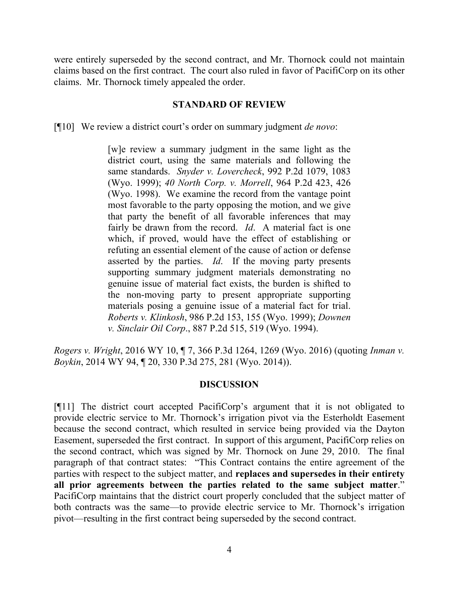were entirely superseded by the second contract, and Mr. Thornock could not maintain claims based on the first contract. The court also ruled in favor of PacifiCorp on its other claims. Mr. Thornock timely appealed the order.

#### **STANDARD OF REVIEW**

[¶10] We review a district court's order on summary judgment *de novo*:

[w]e review a summary judgment in the same light as the district court, using the same materials and following the same standards. *Snyder v. Lovercheck*, 992 P.2d 1079, 1083 (Wyo. 1999); *40 North Corp. v. Morrell*, 964 P.2d 423, 426 (Wyo. 1998). We examine the record from the vantage point most favorable to the party opposing the motion, and we give that party the benefit of all favorable inferences that may fairly be drawn from the record. *Id*. A material fact is one which, if proved, would have the effect of establishing or refuting an essential element of the cause of action or defense asserted by the parties. *Id*. If the moving party presents supporting summary judgment materials demonstrating no genuine issue of material fact exists, the burden is shifted to the non-moving party to present appropriate supporting materials posing a genuine issue of a material fact for trial. *Roberts v. Klinkosh*, 986 P.2d 153, 155 (Wyo. 1999); *Downen v. Sinclair Oil Corp*., 887 P.2d 515, 519 (Wyo. 1994).

*Rogers v. Wright*, 2016 WY 10, ¶ 7, 366 P.3d 1264, 1269 (Wyo. 2016) (quoting *Inman v. Boykin*, 2014 WY 94, ¶ 20, 330 P.3d 275, 281 (Wyo. 2014)).

### **DISCUSSION**

[¶11] The district court accepted PacifiCorp's argument that it is not obligated to provide electric service to Mr. Thornock's irrigation pivot via the Esterholdt Easement because the second contract, which resulted in service being provided via the Dayton Easement, superseded the first contract. In support of this argument, PacifiCorp relies on the second contract, which was signed by Mr. Thornock on June 29, 2010. The final paragraph of that contract states: "This Contract contains the entire agreement of the parties with respect to the subject matter, and **replaces and supersedes in their entirety all prior agreements between the parties related to the same subject matter**." PacifiCorp maintains that the district court properly concluded that the subject matter of both contracts was the same—to provide electric service to Mr. Thornock's irrigation pivot—resulting in the first contract being superseded by the second contract.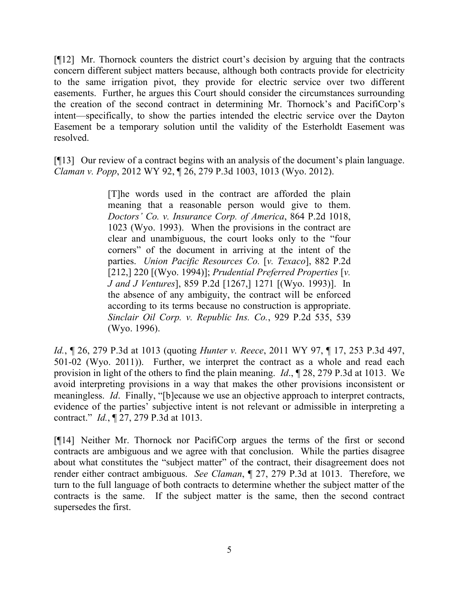[¶12] Mr. Thornock counters the district court's decision by arguing that the contracts concern different subject matters because, although both contracts provide for electricity to the same irrigation pivot, they provide for electric service over two different easements. Further, he argues this Court should consider the circumstances surrounding the creation of the second contract in determining Mr. Thornock's and PacifiCorp's intent—specifically, to show the parties intended the electric service over the Dayton Easement be a temporary solution until the validity of the Esterholdt Easement was resolved.

[¶13] Our review of a contract begins with an analysis of the document's plain language. *Claman v. Popp*, 2012 WY 92, ¶ 26, 279 P.3d 1003, 1013 (Wyo. 2012).

> [T]he words used in the contract are afforded the plain meaning that a reasonable person would give to them. *Doctors' Co. v. Insurance Corp. of America*, 864 P.2d 1018, 1023 (Wyo. 1993). When the provisions in the contract are clear and unambiguous, the court looks only to the "four corners" of the document in arriving at the intent of the parties. *Union Pacific Resources Co.* [*v. Texaco*], 882 P.2d [212,] 220 [(Wyo. 1994)]; *Prudential Preferred Properties* [*v. J and J Ventures*], 859 P.2d [1267,] 1271 [(Wyo. 1993)]. In the absence of any ambiguity, the contract will be enforced according to its terms because no construction is appropriate. *Sinclair Oil Corp. v. Republic Ins. Co.*, 929 P.2d 535, 539 (Wyo. 1996).

*Id.*, ¶ 26, 279 P.3d at 1013 (quoting *Hunter v. Reece*, 2011 WY 97, ¶ 17, 253 P.3d 497, 501-02 (Wyo. 2011)). Further, we interpret the contract as a whole and read each provision in light of the others to find the plain meaning. *Id*., ¶ 28, 279 P.3d at 1013. We avoid interpreting provisions in a way that makes the other provisions inconsistent or meaningless. *Id*. Finally, "[b]ecause we use an objective approach to interpret contracts, evidence of the parties' subjective intent is not relevant or admissible in interpreting a contract." *Id.*, ¶ 27, 279 P.3d at 1013.

[¶14] Neither Mr. Thornock nor PacifiCorp argues the terms of the first or second contracts are ambiguous and we agree with that conclusion. While the parties disagree about what constitutes the "subject matter" of the contract, their disagreement does not render either contract ambiguous. *See Claman*, ¶ 27, 279 P.3d at 1013. Therefore, we turn to the full language of both contracts to determine whether the subject matter of the contracts is the same. If the subject matter is the same, then the second contract supersedes the first.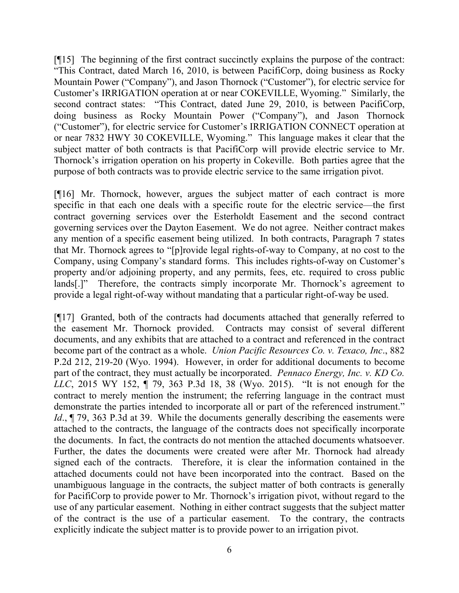[¶15] The beginning of the first contract succinctly explains the purpose of the contract: "This Contract, dated March 16, 2010, is between PacifiCorp, doing business as Rocky Mountain Power ("Company"), and Jason Thornock ("Customer"), for electric service for Customer's IRRIGATION operation at or near COKEVILLE, Wyoming." Similarly, the second contract states: "This Contract, dated June 29, 2010, is between PacifiCorp, doing business as Rocky Mountain Power ("Company"), and Jason Thornock ("Customer"), for electric service for Customer's IRRIGATION CONNECT operation at or near 7832 HWY 30 COKEVILLE, Wyoming." This language makes it clear that the subject matter of both contracts is that PacifiCorp will provide electric service to Mr. Thornock's irrigation operation on his property in Cokeville. Both parties agree that the purpose of both contracts was to provide electric service to the same irrigation pivot.

[¶16] Mr. Thornock, however, argues the subject matter of each contract is more specific in that each one deals with a specific route for the electric service—the first contract governing services over the Esterholdt Easement and the second contract governing services over the Dayton Easement. We do not agree. Neither contract makes any mention of a specific easement being utilized. In both contracts, Paragraph 7 states that Mr. Thornock agrees to "[p]rovide legal rights-of-way to Company, at no cost to the Company, using Company's standard forms. This includes rights-of-way on Customer's property and/or adjoining property, and any permits, fees, etc. required to cross public lands[.]" Therefore, the contracts simply incorporate Mr. Thornock's agreement to provide a legal right-of-way without mandating that a particular right-of-way be used.

[¶17] Granted, both of the contracts had documents attached that generally referred to the easement Mr. Thornock provided. Contracts may consist of several different documents, and any exhibits that are attached to a contract and referenced in the contract become part of the contract as a whole. *Union Pacific Resources Co. v. Texaco, Inc*., 882 P.2d 212, 219-20 (Wyo. 1994). However, in order for additional documents to become part of the contract, they must actually be incorporated. *Pennaco Energy, Inc. v. KD Co. LLC*, 2015 WY 152, ¶ 79, 363 P.3d 18, 38 (Wyo. 2015). "It is not enough for the contract to merely mention the instrument; the referring language in the contract must demonstrate the parties intended to incorporate all or part of the referenced instrument." *Id.*,  $\P$  79, 363 P.3d at 39. While the documents generally describing the easements were attached to the contracts, the language of the contracts does not specifically incorporate the documents. In fact, the contracts do not mention the attached documents whatsoever. Further, the dates the documents were created were after Mr. Thornock had already signed each of the contracts. Therefore, it is clear the information contained in the attached documents could not have been incorporated into the contract. Based on the unambiguous language in the contracts, the subject matter of both contracts is generally for PacifiCorp to provide power to Mr. Thornock's irrigation pivot, without regard to the use of any particular easement. Nothing in either contract suggests that the subject matter of the contract is the use of a particular easement. To the contrary, the contracts explicitly indicate the subject matter is to provide power to an irrigation pivot.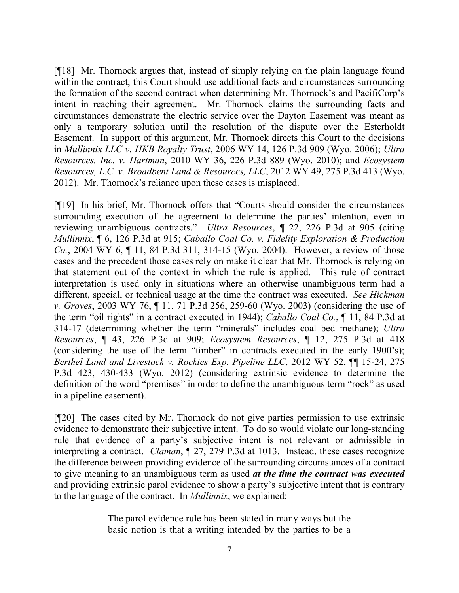[¶18] Mr. Thornock argues that, instead of simply relying on the plain language found within the contract, this Court should use additional facts and circumstances surrounding the formation of the second contract when determining Mr. Thornock's and PacifiCorp's intent in reaching their agreement. Mr. Thornock claims the surrounding facts and circumstances demonstrate the electric service over the Dayton Easement was meant as only a temporary solution until the resolution of the dispute over the Esterholdt Easement. In support of this argument, Mr. Thornock directs this Court to the decisions in *Mullinnix LLC v. HKB Royalty Trust*, 2006 WY 14, 126 P.3d 909 (Wyo. 2006); *Ultra Resources, Inc. v. Hartman*, 2010 WY 36, 226 P.3d 889 (Wyo. 2010); and *Ecosystem Resources, L.C. v. Broadbent Land & Resources, LLC*, 2012 WY 49, 275 P.3d 413 (Wyo. 2012). Mr. Thornock's reliance upon these cases is misplaced.

[¶19] In his brief, Mr. Thornock offers that "Courts should consider the circumstances surrounding execution of the agreement to determine the parties' intention, even in reviewing unambiguous contracts." *Ultra Resources*, ¶ 22, 226 P.3d at 905 (citing *Mullinnix*, ¶ 6, 126 P.3d at 915; *Caballo Coal Co. v. Fidelity Exploration & Production Co.*, 2004 WY 6, ¶ 11, 84 P.3d 311, 314-15 (Wyo. 2004). However, a review of those cases and the precedent those cases rely on make it clear that Mr. Thornock is relying on that statement out of the context in which the rule is applied. This rule of contract interpretation is used only in situations where an otherwise unambiguous term had a different, special, or technical usage at the time the contract was executed. *See Hickman v. Groves*, 2003 WY 76, ¶ 11, 71 P.3d 256, 259-60 (Wyo. 2003) (considering the use of the term "oil rights" in a contract executed in 1944); *Caballo Coal Co.*, ¶ 11, 84 P.3d at 314-17 (determining whether the term "minerals" includes coal bed methane); *Ultra Resources*, ¶ 43, 226 P.3d at 909; *Ecosystem Resources*, ¶ 12, 275 P.3d at 418 (considering the use of the term "timber" in contracts executed in the early 1900's); *Berthel Land and Livestock v. Rockies Exp. Pipeline LLC*, 2012 WY 52, ¶¶ 15-24, 275 P.3d 423, 430-433 (Wyo. 2012) (considering extrinsic evidence to determine the definition of the word "premises" in order to define the unambiguous term "rock" as used in a pipeline easement).

[¶20] The cases cited by Mr. Thornock do not give parties permission to use extrinsic evidence to demonstrate their subjective intent. To do so would violate our long-standing rule that evidence of a party's subjective intent is not relevant or admissible in interpreting a contract. *Claman*, ¶ 27, 279 P.3d at 1013. Instead, these cases recognize the difference between providing evidence of the surrounding circumstances of a contract to give meaning to an unambiguous term as used *at the time the contract was executed* and providing extrinsic parol evidence to show a party's subjective intent that is contrary to the language of the contract. In *Mullinnix*, we explained:

> The parol evidence rule has been stated in many ways but the basic notion is that a writing intended by the parties to be a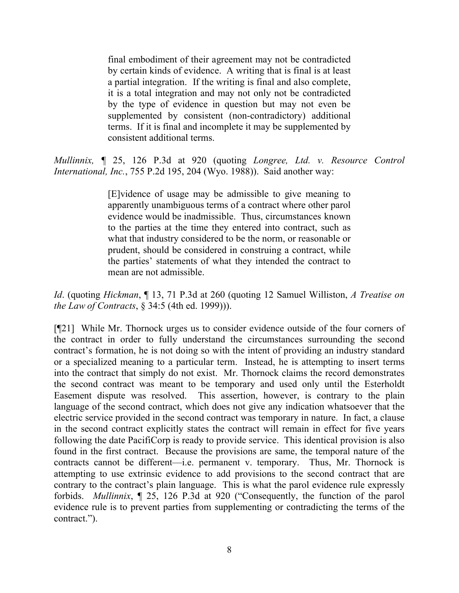final embodiment of their agreement may not be contradicted by certain kinds of evidence. A writing that is final is at least a partial integration. If the writing is final and also complete, it is a total integration and may not only not be contradicted by the type of evidence in question but may not even be supplemented by consistent (non-contradictory) additional terms. If it is final and incomplete it may be supplemented by consistent additional terms.

*Mullinnix, ¶* 25, 126 P.3d at 920 (quoting *Longree, Ltd. v. Resource Control International, Inc.*, 755 P.2d 195, 204 (Wyo. 1988)). Said another way:

> [E]vidence of usage may be admissible to give meaning to apparently unambiguous terms of a contract where other parol evidence would be inadmissible. Thus, circumstances known to the parties at the time they entered into contract, such as what that industry considered to be the norm, or reasonable or prudent, should be considered in construing a contract, while the parties' statements of what they intended the contract to mean are not admissible.

*Id*. (quoting *Hickman*, ¶ 13, 71 P.3d at 260 (quoting 12 Samuel Williston, *A Treatise on the Law of Contracts*, § 34:5 (4th ed. 1999))).

[¶21] While Mr. Thornock urges us to consider evidence outside of the four corners of the contract in order to fully understand the circumstances surrounding the second contract's formation, he is not doing so with the intent of providing an industry standard or a specialized meaning to a particular term. Instead, he is attempting to insert terms into the contract that simply do not exist. Mr. Thornock claims the record demonstrates the second contract was meant to be temporary and used only until the Esterholdt Easement dispute was resolved. This assertion, however, is contrary to the plain language of the second contract, which does not give any indication whatsoever that the electric service provided in the second contract was temporary in nature. In fact, a clause in the second contract explicitly states the contract will remain in effect for five years following the date PacifiCorp is ready to provide service. This identical provision is also found in the first contract. Because the provisions are same, the temporal nature of the contracts cannot be different—i.e. permanent v. temporary. Thus, Mr. Thornock is attempting to use extrinsic evidence to add provisions to the second contract that are contrary to the contract's plain language. This is what the parol evidence rule expressly forbids. *Mullinnix*, ¶ 25, 126 P.3d at 920 ("Consequently, the function of the parol evidence rule is to prevent parties from supplementing or contradicting the terms of the contract.").